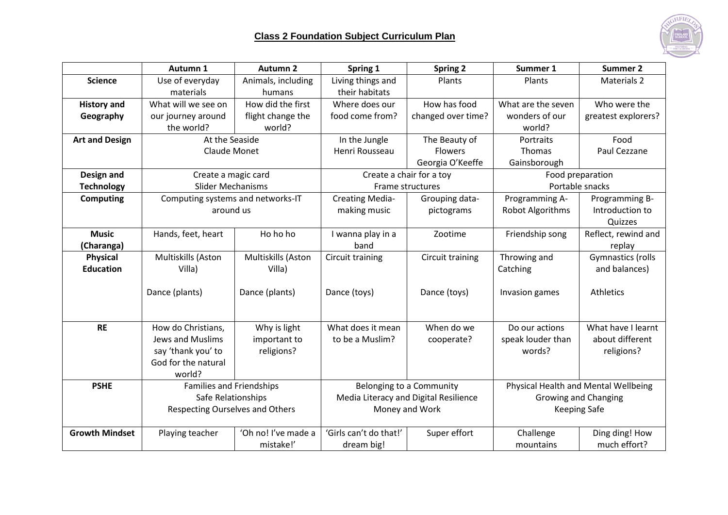

|                       | Autumn 1                               | <b>Autumn 2</b>     | Spring 1                              | <b>Spring 2</b>    | Summer 1                             | <b>Summer 2</b>     |
|-----------------------|----------------------------------------|---------------------|---------------------------------------|--------------------|--------------------------------------|---------------------|
| <b>Science</b>        | Use of everyday                        | Animals, including  | Living things and                     | Plants             | Plants                               | Materials 2         |
|                       | materials                              | humans              | their habitats                        |                    |                                      |                     |
| <b>History and</b>    | What will we see on                    | How did the first   | Where does our                        | How has food       | What are the seven                   | Who were the        |
| Geography             | our journey around                     | flight change the   | food come from?                       | changed over time? | wonders of our                       | greatest explorers? |
|                       | the world?                             | world?              |                                       |                    | world?                               |                     |
| <b>Art and Design</b> | At the Seaside                         |                     | In the Jungle                         | The Beauty of      | Portraits                            | Food                |
|                       | Claude Monet                           |                     | Henri Rousseau                        | <b>Flowers</b>     | <b>Thomas</b>                        | Paul Cezzane        |
|                       |                                        |                     |                                       | Georgia O'Keeffe   | Gainsborough                         |                     |
| Design and            | Create a magic card                    |                     | Create a chair for a toy              |                    | Food preparation                     |                     |
| <b>Technology</b>     | <b>Slider Mechanisms</b>               |                     | Frame structures                      |                    | Portable snacks                      |                     |
| <b>Computing</b>      | Computing systems and networks-IT      |                     | <b>Creating Media-</b>                | Grouping data-     | Programming A-                       | Programming B-      |
|                       | around us                              |                     | making music                          | pictograms         | Robot Algorithms                     | Introduction to     |
|                       |                                        |                     |                                       |                    |                                      | Quizzes             |
| <b>Music</b>          | Hands, feet, heart                     | Ho ho ho            | I wanna play in a                     | Zootime            | Friendship song                      | Reflect, rewind and |
| (Charanga)            |                                        |                     | band                                  |                    |                                      | replay              |
| <b>Physical</b>       | Multiskills (Aston                     | Multiskills (Aston  | Circuit training                      | Circuit training   | Throwing and                         | Gymnastics (rolls   |
| <b>Education</b>      | Villa)                                 | Villa)              |                                       |                    | Catching                             | and balances)       |
|                       |                                        |                     |                                       |                    |                                      |                     |
|                       | Dance (plants)                         | Dance (plants)      | Dance (toys)                          | Dance (toys)       | Invasion games                       | <b>Athletics</b>    |
|                       |                                        |                     |                                       |                    |                                      |                     |
|                       |                                        |                     |                                       |                    |                                      |                     |
| <b>RE</b>             | How do Christians,                     | Why is light        | What does it mean                     | When do we         | Do our actions                       | What have I learnt  |
|                       | <b>Jews and Muslims</b>                | important to        | to be a Muslim?                       | cooperate?         | speak louder than                    | about different     |
|                       | say 'thank you' to                     | religions?          |                                       |                    | words?                               | religions?          |
|                       | God for the natural                    |                     |                                       |                    |                                      |                     |
|                       | world?                                 |                     |                                       |                    |                                      |                     |
| <b>PSHE</b>           | <b>Families and Friendships</b>        |                     | Belonging to a Community              |                    | Physical Health and Mental Wellbeing |                     |
|                       | Safe Relationships                     |                     | Media Literacy and Digital Resilience |                    | <b>Growing and Changing</b>          |                     |
|                       | <b>Respecting Ourselves and Others</b> |                     | Money and Work                        |                    | <b>Keeping Safe</b>                  |                     |
| <b>Growth Mindset</b> | Playing teacher                        | 'Oh no! I've made a | 'Girls can't do that!'                | Super effort       | Challenge                            | Ding ding! How      |
|                       |                                        | mistake!'           | dream big!                            |                    | mountains                            | much effort?        |
|                       |                                        |                     |                                       |                    |                                      |                     |